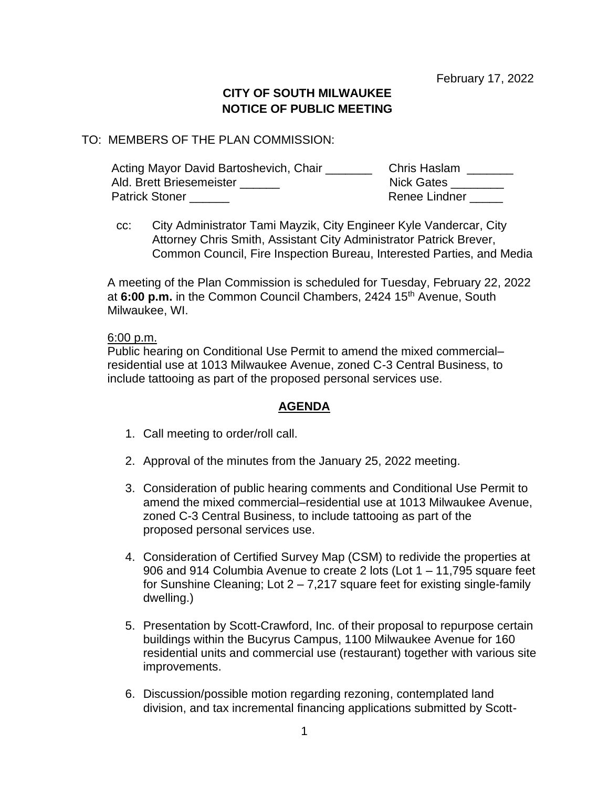February 17, 2022

# **CITY OF SOUTH MILWAUKEE NOTICE OF PUBLIC MEETING**

### TO: MEMBERS OF THE PLAN COMMISSION:

| Acting Mayor David Bartoshevich, Chair | <b>Chris Haslam</b> |
|----------------------------------------|---------------------|
| Ald. Brett Briesemeister               | <b>Nick Gates</b>   |
| <b>Patrick Stoner</b>                  | Renee Lindner       |

cc: City Administrator Tami Mayzik, City Engineer Kyle Vandercar, City Attorney Chris Smith, Assistant City Administrator Patrick Brever, Common Council, Fire Inspection Bureau, Interested Parties, and Media

A meeting of the Plan Commission is scheduled for Tuesday, February 22, 2022 at **6:00 p.m.** in the Common Council Chambers, 2424 15th Avenue, South Milwaukee, WI.

#### 6:00 p.m.

Public hearing on Conditional Use Permit to amend the mixed commercial– residential use at 1013 Milwaukee Avenue, zoned C-3 Central Business, to include tattooing as part of the proposed personal services use.

## **AGENDA**

- 1. Call meeting to order/roll call.
- 2. Approval of the minutes from the January 25, 2022 meeting.
- 3. Consideration of public hearing comments and Conditional Use Permit to amend the mixed commercial–residential use at 1013 Milwaukee Avenue, zoned C-3 Central Business, to include tattooing as part of the proposed personal services use.
- 4. Consideration of Certified Survey Map (CSM) to redivide the properties at 906 and 914 Columbia Avenue to create 2 lots (Lot 1 – 11,795 square feet for Sunshine Cleaning; Lot  $2 - 7,217$  square feet for existing single-family dwelling.)
- 5. Presentation by Scott-Crawford, Inc. of their proposal to repurpose certain buildings within the Bucyrus Campus, 1100 Milwaukee Avenue for 160 residential units and commercial use (restaurant) together with various site improvements.
- 6. Discussion/possible motion regarding rezoning, contemplated land division, and tax incremental financing applications submitted by Scott-